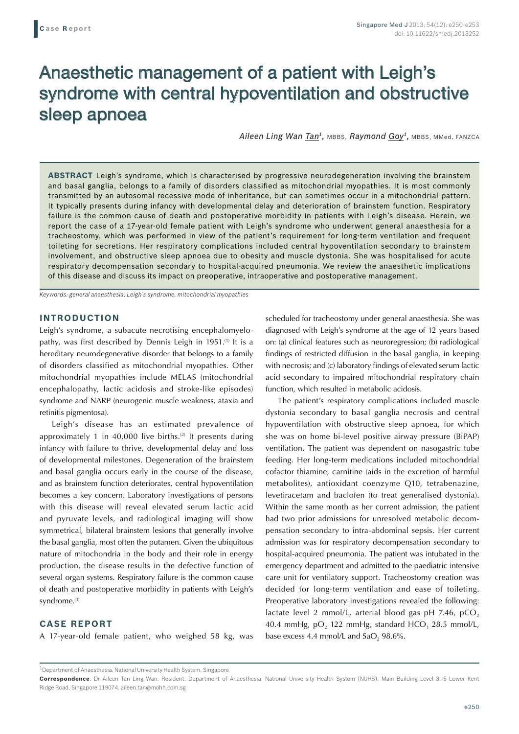# Anaesthetic management of a patient with Leigh's syndrome with central hypoventilation and obstructive sleep apnoea

*Aileen Ling Wan Tan1,* MBBS, *Raymond Goy1,* MBBS, MMed, FANZCA

**ABSTRACT** Leigh's syndrome, which is characterised by progressive neurodegeneration involving the brainstem and basal ganglia, belongs to a family of disorders classified as mitochondrial myopathies. It is most commonly transmitted by an autosomal recessive mode of inheritance, but can sometimes occur in a mitochondrial pattern. It typically presents during infancy with developmental delay and deterioration of brainstem function. Respiratory failure is the common cause of death and postoperative morbidity in patients with Leigh's disease. Herein, we report the case of a 17-year-old female patient with Leigh's syndrome who underwent general anaesthesia for a tracheostomy, which was performed in view of the patient's requirement for long-term ventilation and frequent toileting for secretions. Her respiratory complications included central hypoventilation secondary to brainstem involvement, and obstructive sleep apnoea due to obesity and muscle dystonia. She was hospitalised for acute respiratory decompensation secondary to hospital-acquired pneumonia. We review the anaesthetic implications of this disease and discuss its impact on preoperative, intraoperative and postoperative management.

*Keywords: general anaesthesia, Leigh's syndrome, mitochondrial myopathies*

### **INTRODUCTION**

Leigh's syndrome, a subacute necrotising encephalomyelopathy, was first described by Dennis Leigh in 1951.<sup>(1)</sup> It is a hereditary neurodegenerative disorder that belongs to a family of disorders classified as mitochondrial myopathies. Other mitochondrial myopathies include MELAS (mitochondrial encephalopathy, lactic acidosis and stroke-like episodes) syndrome and NARP (neurogenic muscle weakness, ataxia and retinitis pigmentosa).

Leigh's disease has an estimated prevalence of approximately 1 in 40,000 live births.<sup>(2)</sup> It presents during infancy with failure to thrive, developmental delay and loss of developmental milestones. Degeneration of the brainstem and basal ganglia occurs early in the course of the disease, and as brainstem function deteriorates, central hypoventilation becomes a key concern. Laboratory investigations of persons with this disease will reveal elevated serum lactic acid and pyruvate levels, and radiological imaging will show symmetrical, bilateral brainstem lesions that generally involve the basal ganglia, most often the putamen. Given the ubiquitous nature of mitochondria in the body and their role in energy production, the disease results in the defective function of several organ systems. Respiratory failure is the common cause of death and postoperative morbidity in patients with Leigh's syndrome.<sup>(3)</sup>

## **CASE REPORT**

A 17-year-old female patient, who weighed 58 kg, was

scheduled for tracheostomy under general anaesthesia. She was diagnosed with Leigh's syndrome at the age of 12 years based on: (a) clinical features such as neuroregression; (b) radiological findings of restricted diffusion in the basal ganglia, in keeping with necrosis; and (c) laboratory findings of elevated serum lactic acid secondary to impaired mitochondrial respiratory chain function, which resulted in metabolic acidosis.

The patient's respiratory complications included muscle dystonia secondary to basal ganglia necrosis and central hypoventilation with obstructive sleep apnoea, for which she was on home bi-level positive airway pressure (BiPAP) ventilation. The patient was dependent on nasogastric tube feeding. Her long-term medications included mitochondrial cofactor thiamine, carnitine (aids in the excretion of harmful metabolites), antioxidant coenzyme Q10, tetrabenazine, levetiracetam and baclofen (to treat generalised dystonia). Within the same month as her current admission, the patient had two prior admissions for unresolved metabolic decompensation secondary to intra-abdominal sepsis. Her current admission was for respiratory decompensation secondary to hospital-acquired pneumonia. The patient was intubated in the emergency department and admitted to the paediatric intensive care unit for ventilatory support. Tracheostomy creation was decided for long-term ventilation and ease of toileting. Preoperative laboratory investigations revealed the following: lactate level 2 mmol/L, arterial blood gas pH 7.46,  $pCO<sub>2</sub>$ 40.4 mmHg,  $pO<sub>2</sub>$  122 mmHg, standard HCO<sub>3</sub> 28.5 mmol/L, base excess 4.4 mmol/L and  $SaO$ ,  $98.6\%$ .

<sup>&</sup>lt;sup>1</sup>Department of Anaesthesia, National University Health System, Singapore

**Correspondence**: Dr Aileen Tan Ling Wan, Resident, Department of Anaesthesia, National University Health System (NUHS), Main Building Level 3, 5 Lower Kent Ridge Road, Singapore 119074. aileen.tan@mohh.com.sg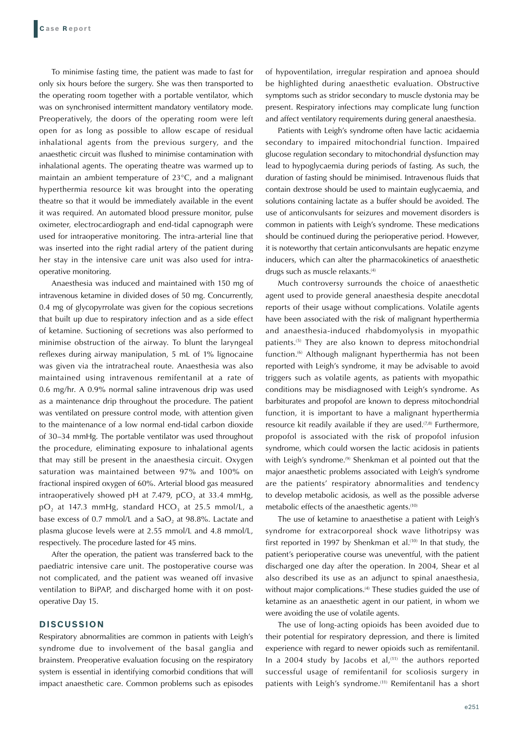To minimise fasting time, the patient was made to fast for only six hours before the surgery. She was then transported to the operating room together with a portable ventilator, which was on synchronised intermittent mandatory ventilatory mode. Preoperatively, the doors of the operating room were left open for as long as possible to allow escape of residual inhalational agents from the previous surgery, and the anaesthetic circuit was flushed to minimise contamination with inhalational agents. The operating theatre was warmed up to maintain an ambient temperature of 23°C, and a malignant hyperthermia resource kit was brought into the operating theatre so that it would be immediately available in the event it was required. An automated blood pressure monitor, pulse oximeter, electrocardiograph and end-tidal capnograph were used for intraoperative monitoring. The intra-arterial line that was inserted into the right radial artery of the patient during her stay in the intensive care unit was also used for intraoperative monitoring.

Anaesthesia was induced and maintained with 150 mg of intravenous ketamine in divided doses of 50 mg. Concurrently, 0.4 mg of glycopyrrolate was given for the copious secretions that built up due to respiratory infection and as a side effect of ketamine. Suctioning of secretions was also performed to minimise obstruction of the airway. To blunt the laryngeal reflexes during airway manipulation, 5 mL of 1% lignocaine was given via the intratracheal route. Anaesthesia was also maintained using intravenous remifentanil at a rate of 0.6 mg/hr. A 0.9% normal saline intravenous drip was used as a maintenance drip throughout the procedure. The patient was ventilated on pressure control mode, with attention given to the maintenance of a low normal end-tidal carbon dioxide of 30–34 mmHg. The portable ventilator was used throughout the procedure, eliminating exposure to inhalational agents that may still be present in the anaesthesia circuit. Oxygen saturation was maintained between 97% and 100% on fractional inspired oxygen of 60%. Arterial blood gas measured intraoperatively showed pH at 7.479, pCO<sub>2</sub> at 33.4 mmHg,  $pO<sub>2</sub>$  at 147.3 mmHg, standard HCO<sub>3</sub> at 25.5 mmol/L, a base excess of 0.7 mmol/L and a  $SaO<sub>2</sub>$  at 98.8%. Lactate and plasma glucose levels were at 2.55 mmol/L and 4.8 mmol/L, respectively. The procedure lasted for 45 mins.

After the operation, the patient was transferred back to the paediatric intensive care unit. The postoperative course was not complicated, and the patient was weaned off invasive ventilation to BiPAP, and discharged home with it on postoperative Day 15.

## **DISCUSSION**

Respiratory abnormalities are common in patients with Leigh's syndrome due to involvement of the basal ganglia and brainstem. Preoperative evaluation focusing on the respiratory system is essential in identifying comorbid conditions that will impact anaesthetic care. Common problems such as episodes of hypoventilation, irregular respiration and apnoea should be highlighted during anaesthetic evaluation. Obstructive symptoms such as stridor secondary to muscle dystonia may be present. Respiratory infections may complicate lung function and affect ventilatory requirements during general anaesthesia.

Patients with Leigh's syndrome often have lactic acidaemia secondary to impaired mitochondrial function. Impaired glucose regulation secondary to mitochondrial dysfunction may lead to hypoglycaemia during periods of fasting. As such, the duration of fasting should be minimised. Intravenous fluids that contain dextrose should be used to maintain euglycaemia, and solutions containing lactate as a buffer should be avoided. The use of anticonvulsants for seizures and movement disorders is common in patients with Leigh's syndrome. These medications should be continued during the perioperative period. However, it is noteworthy that certain anticonvulsants are hepatic enzyme inducers, which can alter the pharmacokinetics of anaesthetic drugs such as muscle relaxants.<sup>(4)</sup>

Much controversy surrounds the choice of anaesthetic agent used to provide general anaesthesia despite anecdotal reports of their usage without complications. Volatile agents have been associated with the risk of malignant hyperthermia and anaesthesia-induced rhabdomyolysis in myopathic patients.(5) They are also known to depress mitochondrial function.<sup>(6)</sup> Although malignant hyperthermia has not been reported with Leigh's syndrome, it may be advisable to avoid triggers such as volatile agents, as patients with myopathic conditions may be misdiagnosed with Leigh's syndrome. As barbiturates and propofol are known to depress mitochondrial function, it is important to have a malignant hyperthermia resource kit readily available if they are used. $(7,8)$  Furthermore, propofol is associated with the risk of propofol infusion syndrome, which could worsen the lactic acidosis in patients with Leigh's syndrome.<sup>(9)</sup> Shenkman et al pointed out that the major anaesthetic problems associated with Leigh's syndrome are the patients' respiratory abnormalities and tendency to develop metabolic acidosis, as well as the possible adverse metabolic effects of the anaesthetic agents.<sup>(10)</sup>

The use of ketamine to anaesthetise a patient with Leigh's syndrome for extracorporeal shock wave lithotripsy was first reported in 1997 by Shenkman et al.<sup>(10)</sup> In that study, the patient's perioperative course was uneventful, with the patient discharged one day after the operation. In 2004, Shear et al also described its use as an adjunct to spinal anaesthesia, without major complications.<sup>(4)</sup> These studies guided the use of ketamine as an anaesthetic agent in our patient, in whom we were avoiding the use of volatile agents.

The use of long-acting opioids has been avoided due to their potential for respiratory depression, and there is limited experience with regard to newer opioids such as remifentanil. In a 2004 study by Jacobs et al, $(11)$  the authors reported successful usage of remifentanil for scoliosis surgery in patients with Leigh's syndrome.<sup>(11)</sup> Remifentanil has a short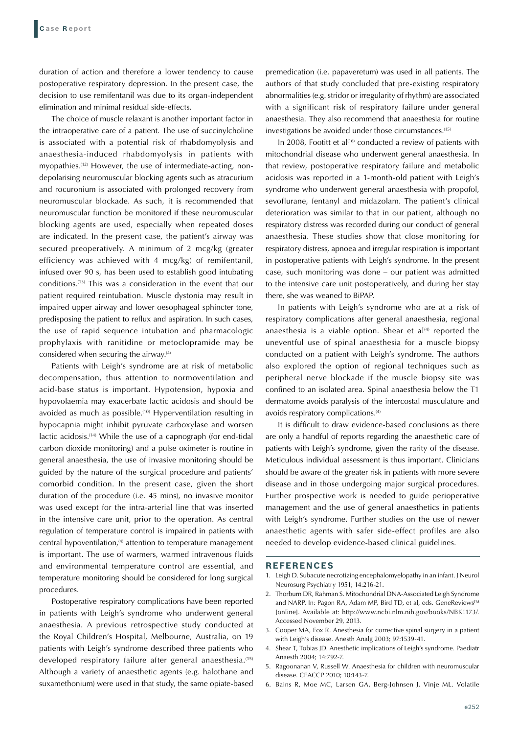duration of action and therefore a lower tendency to cause postoperative respiratory depression. In the present case, the decision to use remifentanil was due to its organ-independent elimination and minimal residual side-effects.

The choice of muscle relaxant is another important factor in the intraoperative care of a patient. The use of succinylcholine is associated with a potential risk of rhabdomyolysis and anaesthesia-induced rhabdomyolysis in patients with myopathies.(12) However, the use of intermediate-acting, nondepolarising neuromuscular blocking agents such as atracurium and rocuronium is associated with prolonged recovery from neuromuscular blockade. As such, it is recommended that neuromuscular function be monitored if these neuromuscular blocking agents are used, especially when repeated doses are indicated. In the present case, the patient's airway was secured preoperatively. A minimum of 2 mcg/kg (greater efficiency was achieved with 4 mcg/kg) of remifentanil, infused over 90 s, has been used to establish good intubating conditions.(13) This was a consideration in the event that our patient required reintubation. Muscle dystonia may result in impaired upper airway and lower oesophageal sphincter tone, predisposing the patient to reflux and aspiration. In such cases, the use of rapid sequence intubation and pharmacologic prophylaxis with ranitidine or metoclopramide may be considered when securing the airway.(4)

Patients with Leigh's syndrome are at risk of metabolic decompensation, thus attention to normoventilation and acid-base status is important. Hypotension, hypoxia and hypovolaemia may exacerbate lactic acidosis and should be avoided as much as possible.<sup>(10)</sup> Hyperventilation resulting in hypocapnia might inhibit pyruvate carboxylase and worsen lactic acidosis.<sup>(14)</sup> While the use of a capnograph (for end-tidal carbon dioxide monitoring) and a pulse oximeter is routine in general anaesthesia, the use of invasive monitoring should be guided by the nature of the surgical procedure and patients' comorbid condition. In the present case, given the short duration of the procedure (i.e. 45 mins), no invasive monitor was used except for the intra-arterial line that was inserted in the intensive care unit, prior to the operation. As central regulation of temperature control is impaired in patients with central hypoventilation,<sup>(4)</sup> attention to temperature management is important. The use of warmers, warmed intravenous fluids and environmental temperature control are essential, and temperature monitoring should be considered for long surgical procedures.

Postoperative respiratory complications have been reported in patients with Leigh's syndrome who underwent general anaesthesia. A previous retrospective study conducted at the Royal Children's Hospital, Melbourne, Australia, on 19 patients with Leigh's syndrome described three patients who developed respiratory failure after general anaesthesia.<sup>(15)</sup> Although a variety of anaesthetic agents (e.g. halothane and suxamethonium) were used in that study, the same opiate-based premedication (i.e. papaveretum) was used in all patients. The authors of that study concluded that pre-existing respiratory abnormalities (e.g. stridor or irregularity of rhythm) are associated with a significant risk of respiratory failure under general anaesthesia. They also recommend that anaesthesia for routine investigations be avoided under those circumstances.(15)

In 2008, Footitt et al<sup> $(16)$ </sup> conducted a review of patients with mitochondrial disease who underwent general anaesthesia. In that review, postoperative respiratory failure and metabolic acidosis was reported in a 1-month-old patient with Leigh's syndrome who underwent general anaesthesia with propofol, sevoflurane, fentanyl and midazolam. The patient's clinical deterioration was similar to that in our patient, although no respiratory distress was recorded during our conduct of general anaesthesia. These studies show that close monitoring for respiratory distress, apnoea and irregular respiration is important in postoperative patients with Leigh's syndrome. In the present case, such monitoring was done – our patient was admitted to the intensive care unit postoperatively, and during her stay there, she was weaned to BiPAP.

In patients with Leigh's syndrome who are at a risk of respiratory complications after general anaesthesia, regional anaesthesia is a viable option. Shear et al $(4)$  reported the uneventful use of spinal anaesthesia for a muscle biopsy conducted on a patient with Leigh's syndrome. The authors also explored the option of regional techniques such as peripheral nerve blockade if the muscle biopsy site was confined to an isolated area. Spinal anaesthesia below the T1 dermatome avoids paralysis of the intercostal musculature and avoids respiratory complications.(4)

It is difficult to draw evidence-based conclusions as there are only a handful of reports regarding the anaesthetic care of patients with Leigh's syndrome, given the rarity of the disease. Meticulous individual assessment is thus important. Clinicians should be aware of the greater risk in patients with more severe disease and in those undergoing major surgical procedures. Further prospective work is needed to guide perioperative management and the use of general anaesthetics in patients with Leigh's syndrome. Further studies on the use of newer anaesthetic agents with safer side-effect profiles are also needed to develop evidence-based clinical guidelines.

#### **REFERENCES**

- 1. Leigh D. Subacute necrotizing encephalomyelopathy in an infant. J Neurol Neurosurg Psychiatry 1951; 14:216-21.
- 2. Thorburn DR, Rahman S. Mitochondrial DNA-Associated Leigh Syndrome and NARP. In: Pagon RA, Adam MP, Bird TD, et al, eds. GeneReviews™ [online]. Available at: http://www.ncbi.nlm.nih.gov/books/NBK1173/. Accessed November 29, 2013.
- 3. Cooper MA, Fox R. Anesthesia for corrective spinal surgery in a patient with Leigh's disease. Anesth Analg 2003; 97:1539-41.
- 4. Shear T, Tobias JD. Anesthetic implications of Leigh's syndrome. Paediatr Anaesth 2004; 14:792-7.
- 5. Ragoonanan V, Russell W. Anaesthesia for children with neuromuscular disease. CEACCP 2010; 10:143-7.
- 6. Bains R, Moe MC, Larsen GA, Berg-Johnsen J, Vinje ML. Volatile